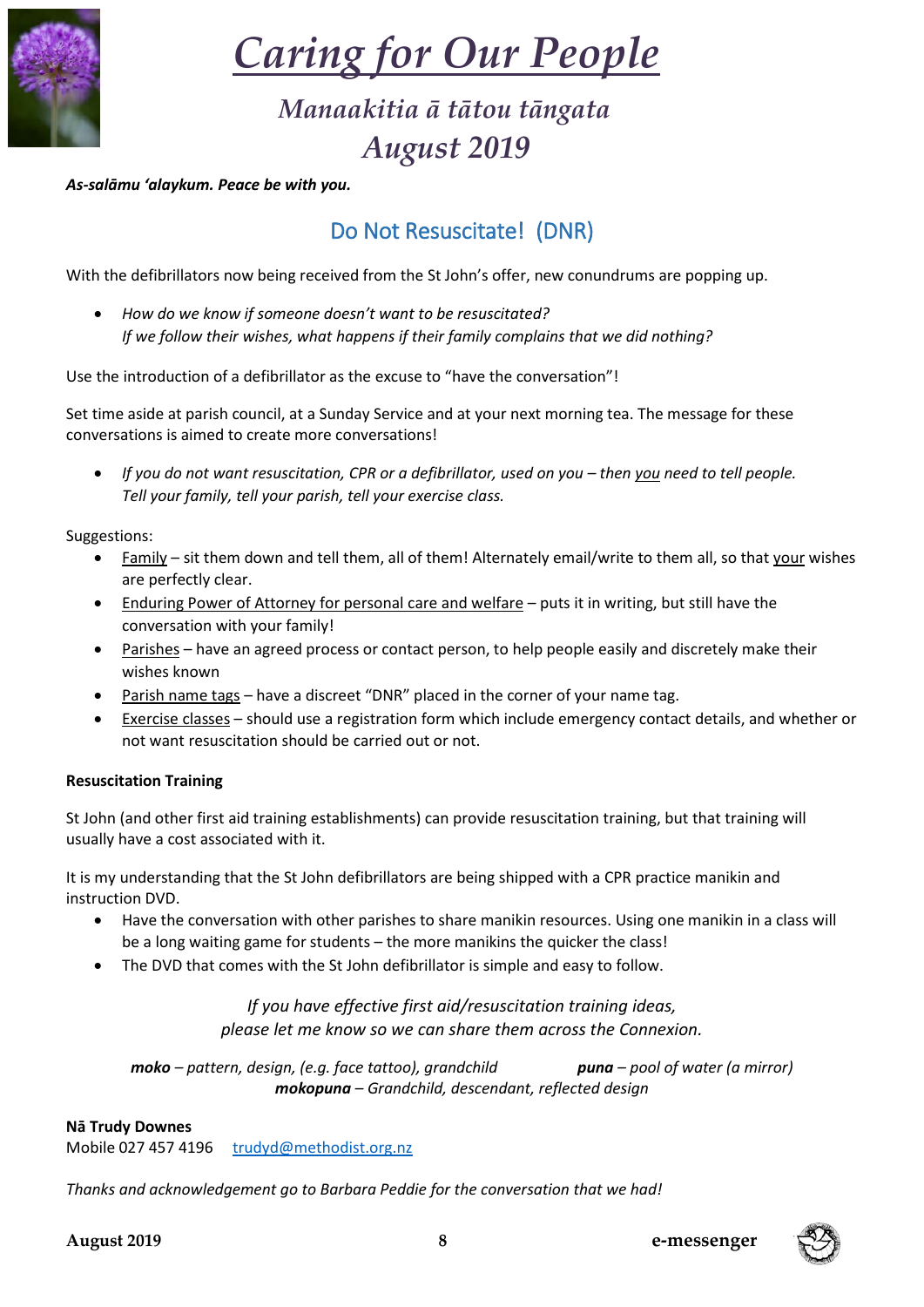

# *Caring for Our People*

## *Manaakitia ā tātou tāngata August 2019*

*As-salāmu 'alaykum. Peace be with you.*

## Do Not Resuscitate! (DNR)

With the defibrillators now being received from the St John's offer, new conundrums are popping up.

• *How do we know if someone doesn't want to be resuscitated? If we follow their wishes, what happens if their family complains that we did nothing?*

Use the introduction of a defibrillator as the excuse to "have the conversation"!

Set time aside at parish council, at a Sunday Service and at your next morning tea. The message for these conversations is aimed to create more conversations!

• *If you do not want resuscitation, CPR or a defibrillator, used on you – then you need to tell people. Tell your family, tell your parish, tell your exercise class.*

Suggestions:

- Family sit them down and tell them, all of them! Alternately email/write to them all, so that your wishes are perfectly clear.
- Enduring Power of Attorney for personal care and welfare puts it in writing, but still have the conversation with your family!
- Parishes have an agreed process or contact person, to help people easily and discretely make their wishes known
- Parish name tags have a discreet "DNR" placed in the corner of your name tag.
- Exercise classes should use a registration form which include emergency contact details, and whether or not want resuscitation should be carried out or not.

#### **Resuscitation Training**

St John (and other first aid training establishments) can provide resuscitation training, but that training will usually have a cost associated with it.

It is my understanding that the St John defibrillators are being shipped with a CPR practice manikin and instruction DVD.

- Have the conversation with other parishes to share manikin resources. Using one manikin in a class will be a long waiting game for students – the more manikins the quicker the class!
- The DVD that comes with the St John defibrillator is simple and easy to follow.

*If you have effective first aid/resuscitation training ideas, please let me know so we can share them across the Connexion.*

*moko – pattern, design, (e.g. face tattoo), grandchild puna – pool of water (a mirror) mokopuna – Grandchild, descendant, reflected design*

#### **Nā Trudy Downes**

Mobile 027 457 4196 [trudyd@methodist.org.nz](mailto:trudyd@methodist.org.nz)

*Thanks and acknowledgement go to Barbara Peddie for the conversation that we had!*